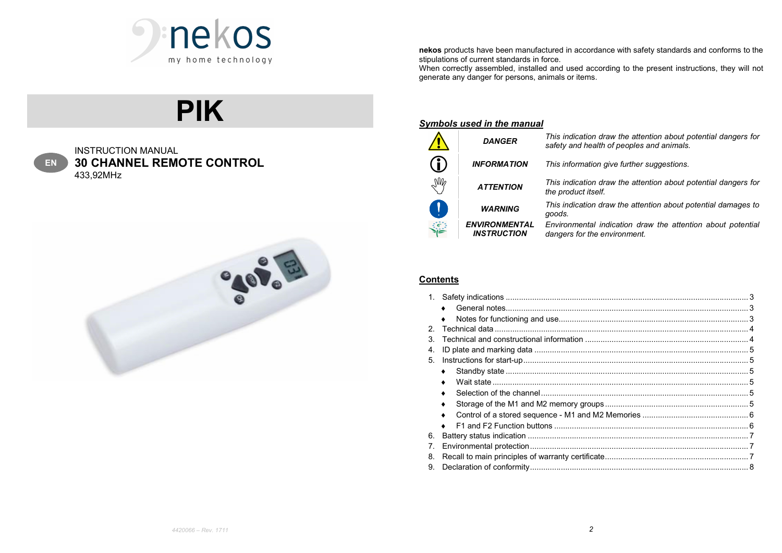

nekos products have been manufactured in accordance with safety standards and conforms to the stipulations of current standards in force.

When correctly assembled, installed and used according to the present instructions, they will not generate any danger for persons, animals or items.

# PIK

| ٠  |
|----|
| n. |

INSTRUCTION MANUAL 30 CHANNEL REMOTE CONTROL 433,92MHz



## Symbols used in the manual

| <b>DANGER</b>                              | This indication draw the attention about potential dangers for<br>safety and health of peoples and animals. |
|--------------------------------------------|-------------------------------------------------------------------------------------------------------------|
| <b>INFORMATION</b>                         | This information give further suggestions.                                                                  |
| <b>ATTENTION</b>                           | This indication draw the attention about potential dangers for<br>the product itself.                       |
| <b>WARNING</b>                             | This indication draw the attention about potential damages to<br>goods.                                     |
| <b>ENVIRONMENTAL</b><br><b>INSTRUCTION</b> | Environmental indication draw the attention about potential<br>dangers for the environment.                 |
|                                            |                                                                                                             |

## **Contents**

| 2 <sup>2</sup> |  |
|----------------|--|
| 3.             |  |
| 4.             |  |
| 5.             |  |
|                |  |
|                |  |
|                |  |
|                |  |
|                |  |
|                |  |
| 6.             |  |
| 7.             |  |
| 8.             |  |
| 9.             |  |
|                |  |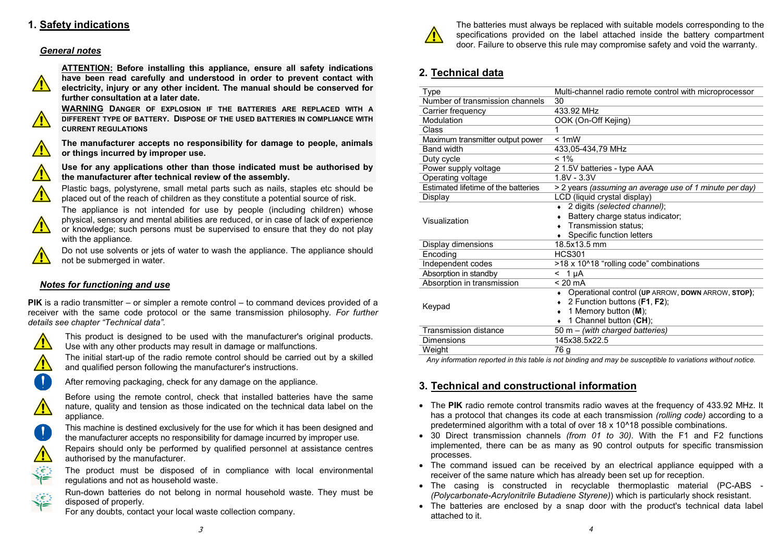# 1. Safety indications

#### General notes



ATTENTION: Before installing this appliance, ensure all safety indications have been read carefully and understood in order to prevent contact with electricity, injury or any other incident. The manual should be conserved for further consultation at a later date.

WARNING DANGER OF EXPLOSION IF THE BATTERIES ARE REPLACED WITH A DIFFERENT TYPE OF BATTERY. DISPOSE OF THE USED BATTERIES IN COMPLIANCE WITH CURRENT REGULATIONS



 $\sqrt{2}$ 

 $\sqrt{N}$ 

The manufacturer accepts no responsibility for damage to people, animals or things incurred by improper use.

## Use for any applications other than those indicated must be authorised by  $\sum_{i=1}^{n}$  the manufacturer after technical review of the assembly.

Plastic bags, polystyrene, small metal parts such as nails, staples etc should be placed out of the reach of children as they constitute a potential source of risk.

The appliance is not intended for use by people (including children) whose physical, sensory and mental abilities are reduced, or in case of lack of experience  $\sqrt{N}$ or knowledge; such persons must be supervised to ensure that they do not play with the appliance.

Do not use solvents or jets of water to wash the appliance. The appliance should not be submerged in water.

## Notes for functioning and use

PIK is a radio transmitter – or simpler a remote control – to command devices provided of a receiver with the same code protocol or the same transmission philosophy. For further details see chapter "Technical data".



This product is designed to be used with the manufacturer's original products. Use with any other products may result in damage or malfunctions.

The initial start-up of the radio remote control should be carried out by a skilled and qualified person following the manufacturer's instructions.

After removing packaging, check for any damage on the appliance.

Before using the remote control, check that installed batteries have the same nature, quality and tension as those indicated on the technical data label on the appliance.



 $\vec{z} \in \mathbb{R}^n$ كمنج

يخايخ

This machine is destined exclusively for the use for which it has been designed and the manufacturer accepts no responsibility for damage incurred by improper use.

Repairs should only be performed by qualified personnel at assistance centres authorised by the manufacturer.

The product must be disposed of in compliance with local environmental regulations and not as household waste.

Run-down batteries do not belong in normal household waste. They must be disposed of properly.

For any doubts, contact your local waste collection company.



The batteries must always be replaced with suitable models corresponding to the specifications provided on the label attached inside the battery compartment door. Failure to observe this rule may compromise safety and void the warranty.

# 2. Technical data

| Type                                | Multi-channel radio remote control with microprocessor  |
|-------------------------------------|---------------------------------------------------------|
| Number of transmission channels     | 30                                                      |
| Carrier frequency                   | 433.92 MHz                                              |
| Modulation                          | OOK (On-Off Kejing)                                     |
| Class                               |                                                         |
| Maximum transmitter output power    | < 1mW                                                   |
| <b>Band width</b>                   | 433,05-434,79 MHz                                       |
| Duty cycle                          | $< 1\%$                                                 |
| Power supply voltage                | 2 1.5V batteries - type AAA                             |
| Operating voltage                   | $1.8V - 3.3V$                                           |
| Estimated lifetime of the batteries | > 2 years (assuming an average use of 1 minute per day) |
| Display                             | LCD (liquid crystal display)                            |
|                                     | • 2 digits (selected channel);                          |
| Visualization                       | Battery charge status indicator;                        |
|                                     | Transmission status;                                    |
|                                     | Specific function letters                               |
| Display dimensions                  | 18.5x13.5 mm                                            |
| Encoding                            | <b>HCS301</b>                                           |
| Independent codes                   | >18 x 10^18 "rolling code" combinations                 |
| Absorption in standby               | $< 1 \mu A$                                             |
| Absorption in transmission          | $< 20 \text{ mA}$                                       |
|                                     | Operational control (UP ARROW, DOWN ARROW, STOP);       |
|                                     | 2 Function buttons (F1, F2);                            |
| Keypad                              | 1 Memory button $(M)$ ;                                 |
|                                     | 1 Channel button (CH);                                  |
| <b>Transmission distance</b>        | 50 m - (with charged batteries)                         |
| <b>Dimensions</b>                   | 145x38.5x22.5                                           |
| Weight                              | 76 g                                                    |
|                                     |                                                         |

Any information reported in this table is not binding and may be susceptible to variations without notice.

## 3. Technical and constructional information

- The PIK radio remote control transmits radio waves at the frequency of 433.92 MHz. It has a protocol that changes its code at each transmission (rolling code) according to a predetermined algorithm with a total of over 18 x 10^18 possible combinations.
- 30 Direct transmission channels (from 01 to 30). With the F1 and F2 functions implemented, there can be as many as 90 control outputs for specific transmission processes.
- The command issued can be received by an electrical appliance equipped with a receiver of the same nature which has already been set up for reception.
- The casing is constructed in recyclable thermoplastic material (PC-ABS -(Polycarbonate-Acrylonitrile Butadiene Styrene)) which is particularly shock resistant.
- The batteries are enclosed by a snap door with the product's technical data label attached to it.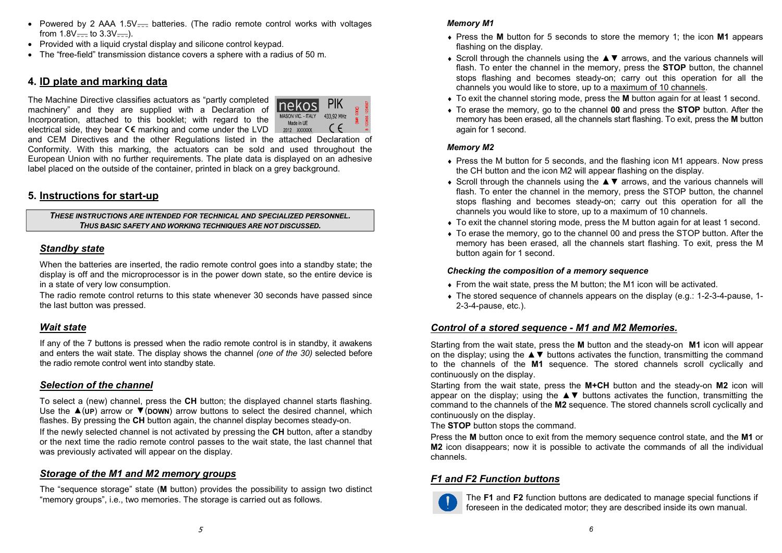- Powered by 2 AAA 1.5V $=$  batteries. (The radio remote control works with voltages from  $1.8V =$  to  $3.3V =$ ).
- Provided with a liquid crystal display and silicone control keypad.
- The "free-field" transmission distance covers a sphere with a radius of 50 m.

# 4. ID plate and marking data

The Machine Directive classifies actuators as "partly completed machinery" and they are supplied with a Declaration of Incorporation, attached to this booklet; with regard to the electrical side, they bear  $\mathsf{CE}$  marking and come under the LVD  $\Box$  2012 XXXXX



and CEM Directives and the other Regulations listed in the attached Declaration of Conformity. With this marking, the actuators can be sold and used throughout the European Union with no further requirements. The plate data is displayed on an adhesive label placed on the outside of the container, printed in black on a grey background.

# 5. Instructions for start-up

THESE INSTRUCTIONS ARE INTENDED FOR TECHNICAL AND SPECIALIZED PERSONNEL. THUS BASIC SAFETY AND WORKING TECHNIQUES ARE NOT DISCUSSED.

## Standby state

When the batteries are inserted, the radio remote control goes into a standby state; the display is off and the microprocessor is in the power down state, so the entire device is in a state of very low consumption.

The radio remote control returns to this state whenever 30 seconds have passed since the last button was pressed.

## Wait state

If any of the 7 buttons is pressed when the radio remote control is in standby, it awakens and enters the wait state. The display shows the channel (one of the 30) selected before the radio remote control went into standby state.

#### Selection of the channel

To select a (new) channel, press the CH button; the displayed channel starts flashing. Use the  $\triangle$ (UP) arrow or  $\nabla$ (DOWN) arrow buttons to select the desired channel, which flashes. By pressing the CH button again, the channel display becomes steady-on. If the newly selected channel is not activated by pressing the CH button, after a standby or the next time the radio remote control passes to the wait state, the last channel that was previously activated will appear on the display.

## Storage of the M1 and M2 memory groups

The "sequence storage" state (M button) provides the possibility to assign two distinct "memory groups", i.e., two memories. The storage is carried out as follows.

#### Memory M1

- Press the M button for 5 seconds to store the memory 1; the icon M1 appears flashing on the display.
- Scroll through the channels using the ▲▼ arrows, and the various channels will flash. To enter the channel in the memory, press the STOP button, the channel stops flashing and becomes steady-on; carry out this operation for all the channels you would like to store, up to a maximum of 10 channels.
- To exit the channel storing mode, press the M button again for at least 1 second.
- To erase the memory, go to the channel 00 and press the STOP button. After the memory has been erased, all the channels start flashing. To exit, press the M button again for 1 second.

#### Memory M2

- Press the M button for 5 seconds, and the flashing icon M1 appears. Now press the CH button and the icon M2 will appear flashing on the display.
- Scroll through the channels using the ▲▼ arrows, and the various channels will flash. To enter the channel in the memory, press the STOP button, the channel stops flashing and becomes steady-on; carry out this operation for all the channels you would like to store, up to a maximum of 10 channels.
- To exit the channel storing mode, press the M button again for at least 1 second.
- To erase the memory, go to the channel 00 and press the STOP button. After the memory has been erased, all the channels start flashing. To exit, press the M button again for 1 second.

#### Checking the composition of a memory sequence

- From the wait state, press the M button; the M1 icon will be activated.
- The stored sequence of channels appears on the display (e.g.: 1-2-3-4-pause, 1- 2-3-4-pause, etc.).

#### Control of a stored sequence - M1 and M2 Memories.

Starting from the wait state, press the M button and the steady-on M1 icon will appear on the display; using the ▲▼ buttons activates the function, transmitting the command to the channels of the M1 sequence. The stored channels scroll cyclically and continuously on the display.

Starting from the wait state, press the M+CH button and the steady-on M2 icon will appear on the display; using the  $\blacktriangle \blacktriangledown$  buttons activates the function, transmitting the command to the channels of the M2 sequence. The stored channels scroll cyclically and continuously on the display.

The STOP button stops the command.

Press the M button once to exit from the memory sequence control state, and the M1 or **M2** icon disappears; now it is possible to activate the commands of all the individual channels.

#### F1 and F2 Function buttons



The F1 and F2 function buttons are dedicated to manage special functions if foreseen in the dedicated motor; they are described inside its own manual.